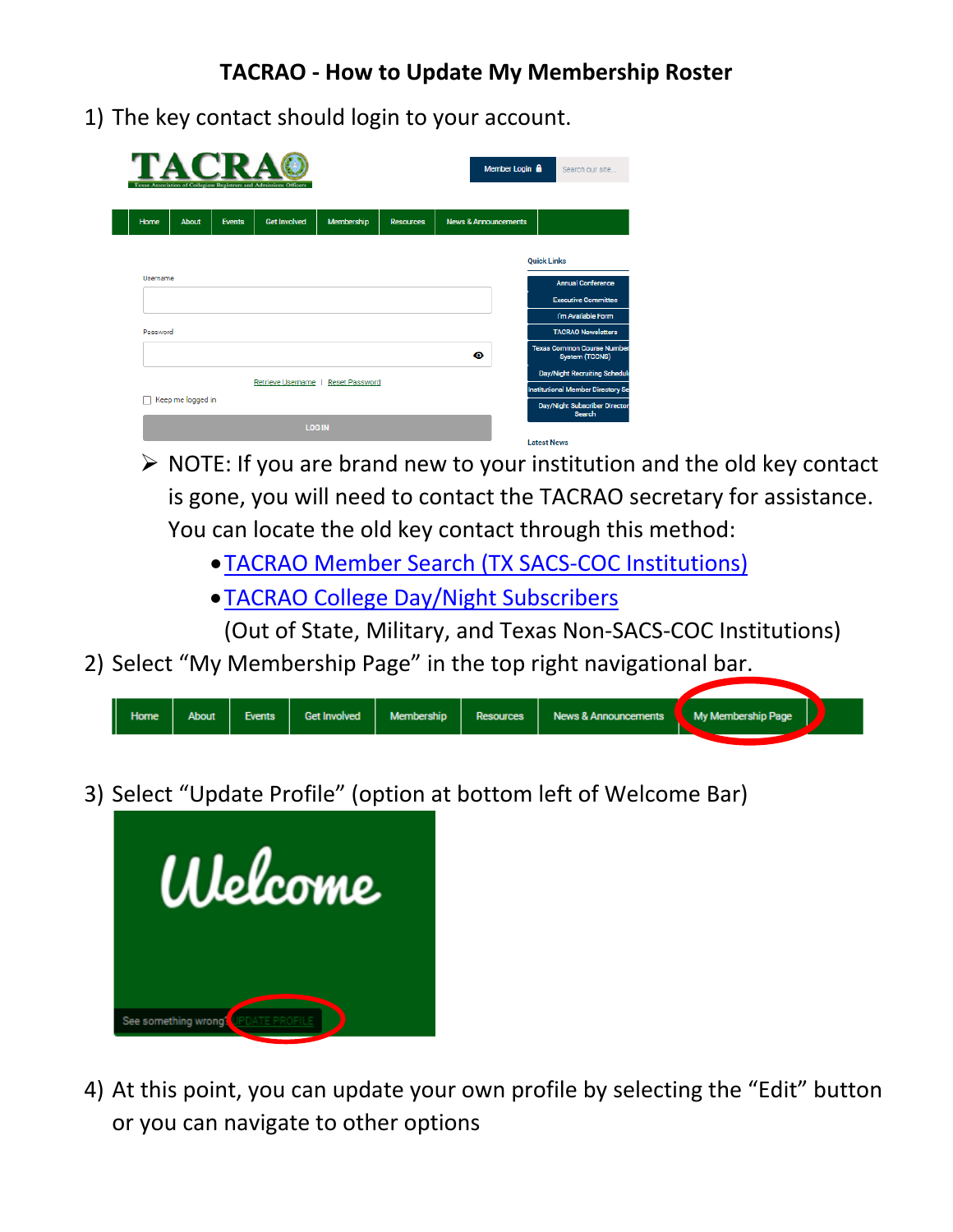1) The key contact should login to your account.

| TACRA<br>Member Login <b>A</b><br>Texas Association of Collegiate Registrars and Admissions Officers |                   |               |                          |                       |                  |                                 |                    | Search our site                                            |
|------------------------------------------------------------------------------------------------------|-------------------|---------------|--------------------------|-----------------------|------------------|---------------------------------|--------------------|------------------------------------------------------------|
| Home                                                                                                 | <b>About</b>      | <b>Events</b> | <b>Get Involved</b>      | Membership            | <b>Resources</b> | <b>News &amp; Announcements</b> |                    |                                                            |
|                                                                                                      |                   |               |                          |                       |                  |                                 | <b>Quick Links</b> |                                                            |
| Username                                                                                             |                   |               |                          |                       |                  |                                 |                    | <b>Annual Conference</b>                                   |
|                                                                                                      |                   |               |                          |                       |                  |                                 |                    | <b>Executive Committee</b>                                 |
|                                                                                                      |                   |               |                          |                       |                  |                                 |                    | I'm Available Form                                         |
| Password                                                                                             |                   |               |                          |                       |                  |                                 |                    | <b>TACRAO Newsletters</b>                                  |
|                                                                                                      |                   |               |                          |                       |                  | ◉                               |                    | <b>Texas Common Course Number</b><br><b>System (TCCNS)</b> |
|                                                                                                      |                   |               |                          |                       |                  |                                 |                    | <b>Day/Night Recruiting Schedule</b>                       |
|                                                                                                      |                   |               | <b>Retrieve Username</b> | <b>Reset Password</b> |                  |                                 |                    | <b>Institutional Member Directory Se</b>                   |
|                                                                                                      | Keep me logged in |               |                          |                       |                  |                                 |                    | <b>Day/Night Subscriber Director</b><br><b>Search</b>      |
|                                                                                                      |                   |               | <b>LOG IN</b>            |                       |                  |                                 | <b>Latest News</b> |                                                            |

- $\triangleright$  NOTE: If you are brand new to your institution and the old key contact is gone, you will need to contact the TACRAO secretary for assistance. You can locate the old key contact through this method:
	- •[TACRAO Member Search \(TX SACS-COC](https://tacrao.memberclicks.net/institutional-member-directory-search#/) Institutions)
	- •[TACRAO College Day/Night Subscribers](https://tacrao.memberclicks.net/day-night-subscriber-directory-search#/)

(Out of State, Military, and Texas Non-SACS-COC Institutions)

2) Select "My Membership Page" in the top right navigational bar.



3) Select "Update Profile" (option at bottom left of Welcome Bar)



4) At this point, you can update your own profile by selecting the "Edit" button or you can navigate to other options